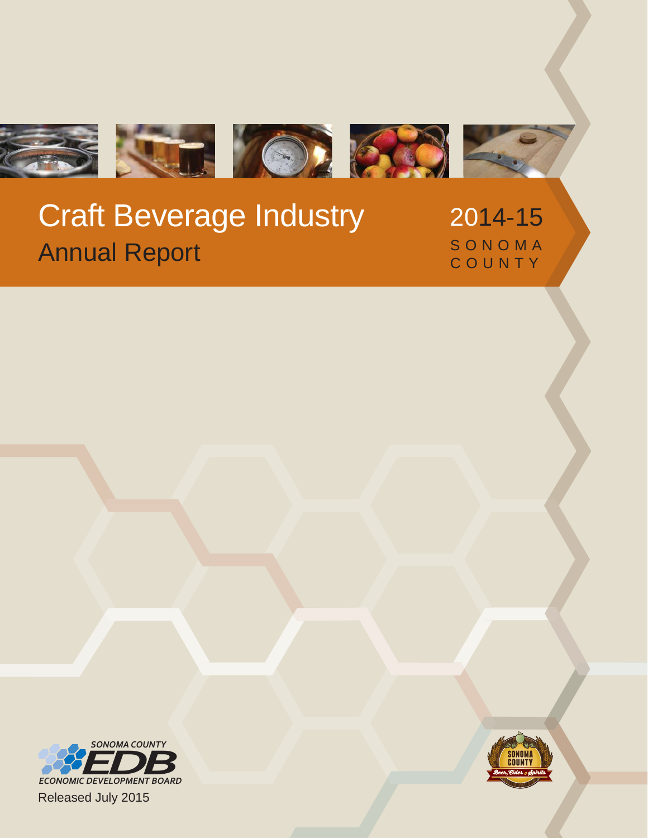

## Craft Beverage Industry Annual Report

2014-15 SONOMA COUNTY



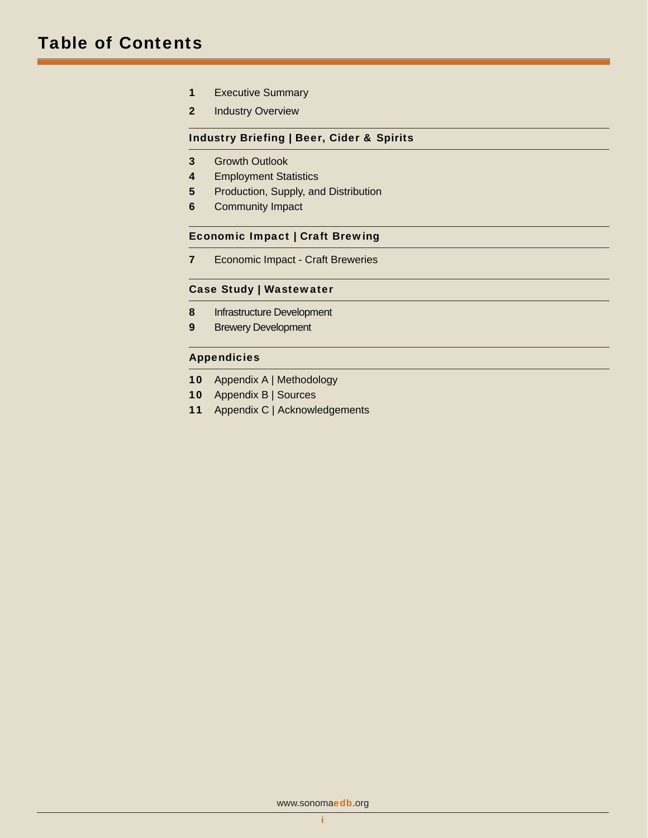- 1 Executive Summary
- 2 Industry Overview

### Industry Briefing | Beer, Cider & Spirits

- 3 Growth Outlook
- 4 Employment Statistics
- 5 Production, Supply, and Distribution
- 6 Community Impact

### Economic Impact | Craft Brewing

**7** Economic Impact - Craft Breweries

### Case Study | Wastewater

- 8 Infrastructure Development
- 9 Brewery Development

### **Appendicies**

- 10 Appendix A | Methodology
- 10 Appendix B | Sources
- 11 Appendix C | Acknowledgements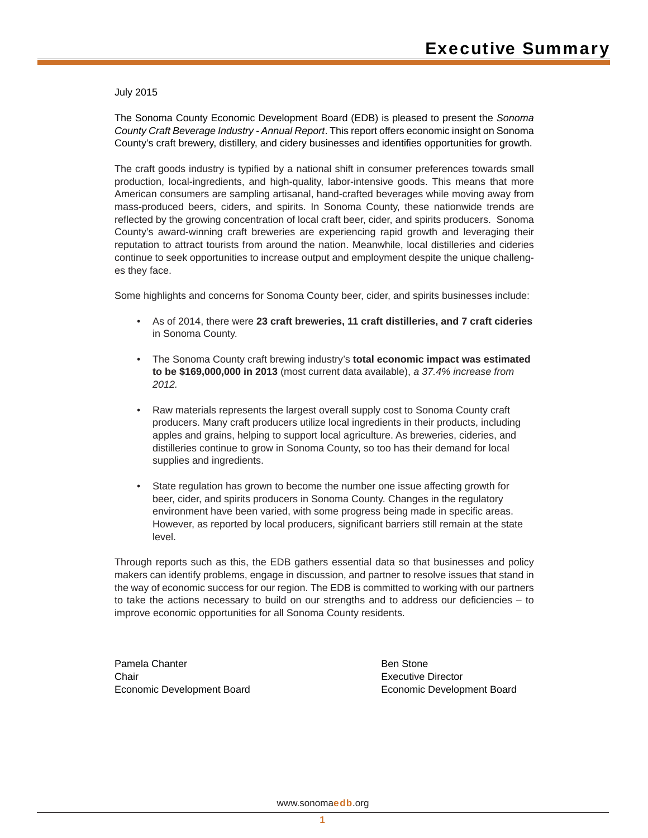July 2015

The Sonoma County Economic Development Board (EDB) is pleased to present the *Sonoma County Craft Beverage Industry - Annual Report*. This report offers economic insight on Sonoma County's craft brewery, distillery, and cidery businesses and identifies opportunities for growth.

The craft goods industry is typified by a national shift in consumer preferences towards small production, local-ingredients, and high-quality, labor-intensive goods. This means that more American consumers are sampling artisanal, hand-crafted beverages while moving away from mass-produced beers, ciders, and spirits. In Sonoma County, these nationwide trends are reflected by the growing concentration of local craft beer, cider, and spirits producers. Sonoma County's award-winning craft breweries are experiencing rapid growth and leveraging their reputation to attract tourists from around the nation. Meanwhile, local distilleries and cideries continue to seek opportunities to increase output and employment despite the unique challenges they face.

Some highlights and concerns for Sonoma County beer, cider, and spirits businesses include:

- As of 2014, there were **23 craft breweries, 11 craft distilleries, and 7 craft cideries** in Sonoma County.
- The Sonoma County craft brewing industry's **total economic impact was estimated to be \$169,000,000 in 2013** (most current data available), *a 37.4% increase from 2012.*
- Raw materials represents the largest overall supply cost to Sonoma County craft producers. Many craft producers utilize local ingredients in their products, including apples and grains, helping to support local agriculture. As breweries, cideries, and distilleries continue to grow in Sonoma County, so too has their demand for local supplies and ingredients.
- State regulation has grown to become the number one issue affecting growth for beer, cider, and spirits producers in Sonoma County. Changes in the regulatory environment have been varied, with some progress being made in specific areas. However, as reported by local producers, significant barriers still remain at the state level.

Through reports such as this, the EDB gathers essential data so that businesses and policy makers can identify problems, engage in discussion, and partner to resolve issues that stand in the way of economic success for our region. The EDB is committed to working with our partners to take the actions necessary to build on our strengths and to address our deficiencies – to improve economic opportunities for all Sonoma County residents.

Pamela Chanter **Chair** Economic Development Board

 Ben Stone Executive Director Economic Development Board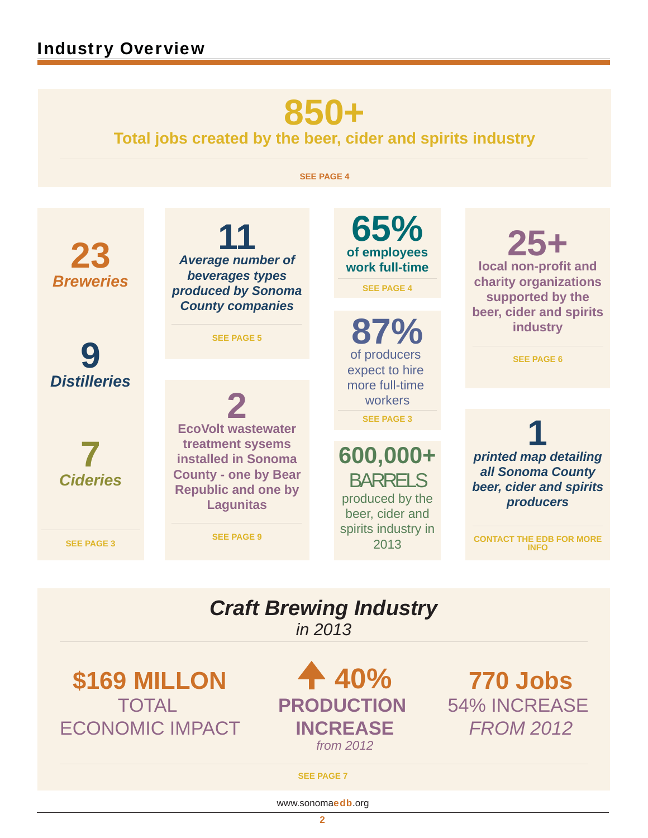# **850+**

**Total jobs created by the beer , cider and spirits industry**

**SEE PAGE 4**

*Breweries* **23**  *Distilleries* **9**  *Cideries* **7**  *Average number of*  **11** *beverages types produced by Sonoma County companies* **SEE PAGE 5 of employees 65% work full-time SEE PAGE 4** of producers **87%** expect to hire more full-time workers **SEE PAGE 3 600,000+**  BARRELS produced by the beer, cider and spirits industry in **local non-profit and 25+ charity organizations supported by the beer, cider and spirits industry SEE PAGE 6 EcoVolt wastewater 2 treatment sysems installed in Sonoma County - one by Bear Republic and one by Lagunitas** *printed map detailing*  **1** *all Sonoma County beer, cider and spirits producers*

**SEE PAGE 3**

*Craft Brewing Industry in 2013*

**SEE PAGE 9**

**\$169 MILLON TOTAL** ECONOMIC IMPACT

**40% PRODUCTION INCREASE** *from 2012*

2013

**770 Jobs** 54% INCREASE *FROM 2012*

**CONTACT THE EDB FOR MORE INFO**

#### **SEE PAGE 7**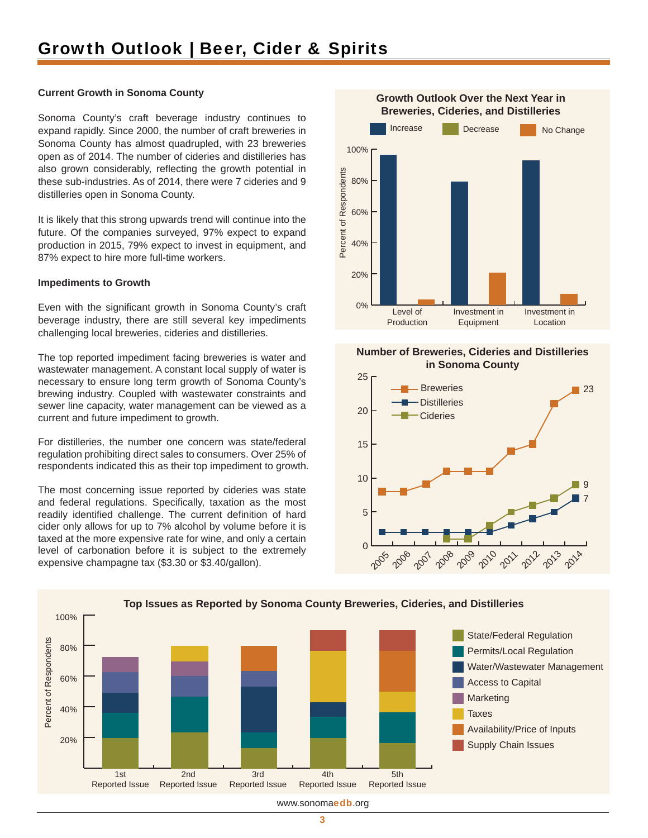### **Current Growth in Sonoma County**

Sonoma County's craft beverage industry continues to expand rapidly. Since 2000, the number of craft breweries in Sonoma County has almost quadrupled, with 23 breweries open as of 2014. The number of cideries and distilleries has also grown considerably, reflecting the growth potential in these sub-industries. As of 2014, there were 7 cideries and 9 distilleries open in Sonoma County.

It is likely that this strong upwards trend will continue into the future. Of the companies surveyed, 97% expect to expand production in 2015, 79% expect to invest in equipment, and 87% expect to hire more full-time workers.

### **Impediments to Growth**

Even with the significant growth in Sonoma County's craft beverage industry, there are still several key impediments challenging local breweries, cideries and distilleries.

The top reported impediment facing breweries is water and wastewater management. A constant local supply of water is necessary to ensure long term growth of Sonoma County's brewing industry. Coupled with wastewater constraints and sewer line capacity, water management can be viewed as a current and future impediment to growth.

For distilleries, the number one concern was state/federal regulation prohibiting direct sales to consumers. Over 25% of respondents indicated this as their top impediment to growth.

The most concerning issue reported by cideries was state and federal regulations. Specifically, taxation as the most readily identified challenge. The current definition of hard cider only allows for up to 7% alcohol by volume before it is taxed at the more expensive rate for wine, and only a certain level of carbonation before it is subject to the extremely expensive champagne tax (\$3.30 or \$3.40/gallon).



### **Number of Breweries, Cideries and Distilleries in Sonoma County**





www.sonomaedb.org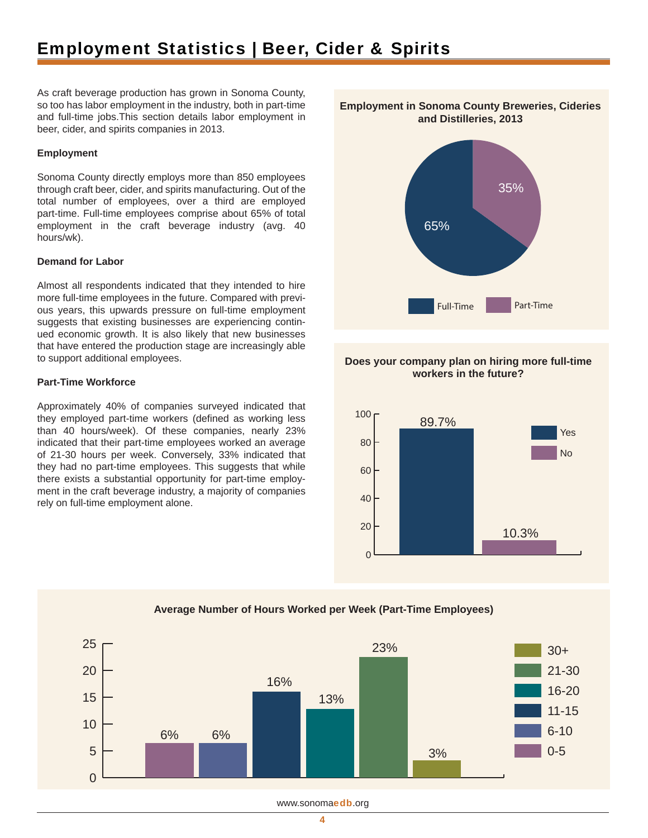### Employment Statistics | Beer, Cider & Spirits

As craft beverage production has grown in Sonoma County, so too has labor employment in the industry, both in part-time and full-time jobs.This section details labor employment in beer, cider, and spirits companies in 2013.

#### **Employment**

Sonoma County directly employs more than 850 employees through craft beer, cider, and spirits manufacturing. Out of the total number of employees, over a third are employed part-time. Full-time employees comprise about 65% of total employment in the craft beverage industry (avg. 40 hours/wk).

### **Demand for Labor**

Almost all respondents indicated that they intended to hire more full-time employees in the future. Compared with previous years, this upwards pressure on full-time employment suggests that existing businesses are experiencing continued economic growth. It is also likely that new businesses that have entered the production stage are increasingly able to support additional employees.

#### **Part-Time Workforce**

Approximately 40% of companies surveyed indicated that they employed part-time workers (defined as working less than 40 hours/week). Of these companies, nearly 23% indicated that their part-time employees worked an average of 21-30 hours per week. Conversely, 33% indicated that they had no part-time employees. This suggests that while there exists a substantial opportunity for part-time employment in the craft beverage industry, a majority of companies rely on full-time employment alone.



### **Does your company plan on hiring more full-time workers in the future?**





### **Average Number of Hours Worked per Week (Part-Time Employees)**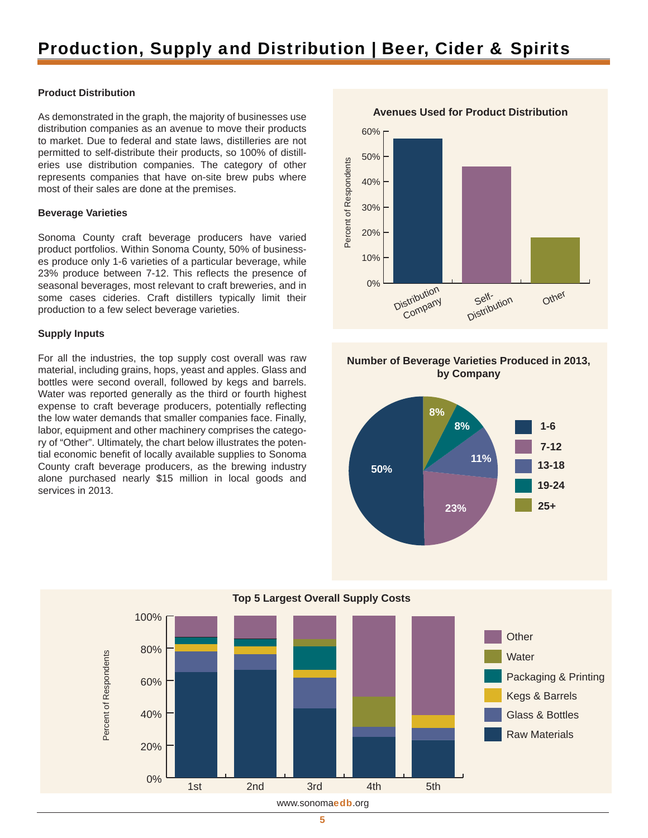### Production, Supply and Distribution | Beer, Cider & Spirits

### **Product Distribution**

As demonstrated in the graph, the majority of businesses use distribution companies as an avenue to move their products to market. Due to federal and state laws, distilleries are not permitted to self-distribute their products, so 100% of distilleries use distribution companies. The category of other represents companies that have on-site brew pubs where most of their sales are done at the premises.

#### **Beverage Varieties**

Sonoma County craft beverage producers have varied product portfolios. Within Sonoma County, 50% of businesses produce only 1-6 varieties of a particular beverage, while 23% produce between 7-12. This reflects the presence of seasonal beverages, most relevant to craft breweries, and in some cases cideries. Craft distillers typically limit their production to a few select beverage varieties.

#### **Supply Inputs**

For all the industries, the top supply cost overall was raw material, including grains, hops, yeast and apples. Glass and bottles were second overall, followed by kegs and barrels. Water was reported generally as the third or fourth highest expense to craft beverage producers, potentially reflecting the low water demands that smaller companies face. Finally, labor, equipment and other machinery comprises the category of "Other". Ultimately, the chart below illustrates the potential economic benefit of locally available supplies to Sonoma County craft beverage producers, as the brewing industry alone purchased nearly \$15 million in local goods and services in 2013.



### **Number of Beverage Varieties Produced in 2013, by Company**





5

**Top 5 Largest Overall Supply Costs**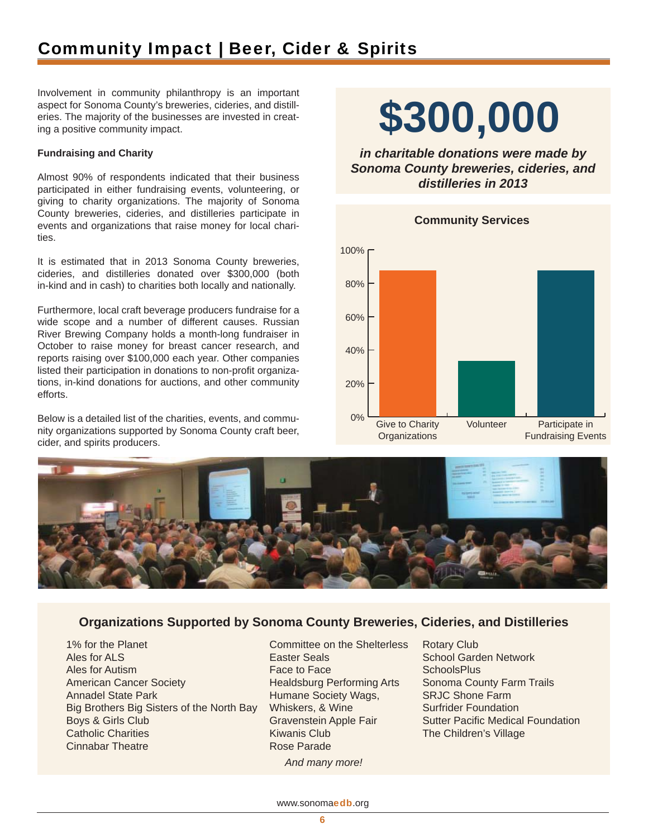### Community Impact | Beer, Cider & Spirits

Involvement in community philanthropy is an important aspect for Sonoma County's breweries, cideries, and distilleries. The majority of the businesses are invested in creating a positive community impact.

### **Fundraising and Charity**

Almost 90% of respondents indicated that their business participated in either fundraising events, volunteering, or giving to charity organizations. The majority of Sonoma County breweries, cideries, and distilleries participate in events and organizations that raise money for local charities.

It is estimated that in 2013 Sonoma County breweries, cideries, and distilleries donated over \$300,000 (both in-kind and in cash) to charities both locally and nationally.

Furthermore, local craft beverage producers fundraise for a wide scope and a number of different causes. Russian River Brewing Company holds a month-long fundraiser in October to raise money for breast cancer research, and reports raising over \$100,000 each year. Other companies listed their participation in donations to non-profit organizations, in-kind donations for auctions, and other community efforts.

Below is a detailed list of the charities, events, and community organizations supported by Sonoma County craft beer, cider, and spirits producers.

# **\$300,000**

*in charitable donations were made by Sonoma County breweries, cideries, and distilleries in 2013*





### **Organizations Supported by Sonoma County Breweries, Cideries, and Distilleries**

1% for the Planet Ales for ALS Ales for Autism American Cancer Society Annadel State Park Big Brothers Big Sisters of the North Bay Boys & Girls Club Catholic Charities Cinnabar Theatre

Committee on the Shelterless Easter Seals Face to Face Healdsburg Performing Arts Humane Society Wags, Whiskers, & Wine Gravenstein Apple Fair Kiwanis Club Rose Parade *And many more!*

Rotary Club School Garden Network **SchoolsPlus** Sonoma County Farm Trails SRJC Shone Farm Surfrider Foundation Sutter Pacific Medical Foundation The Children's Village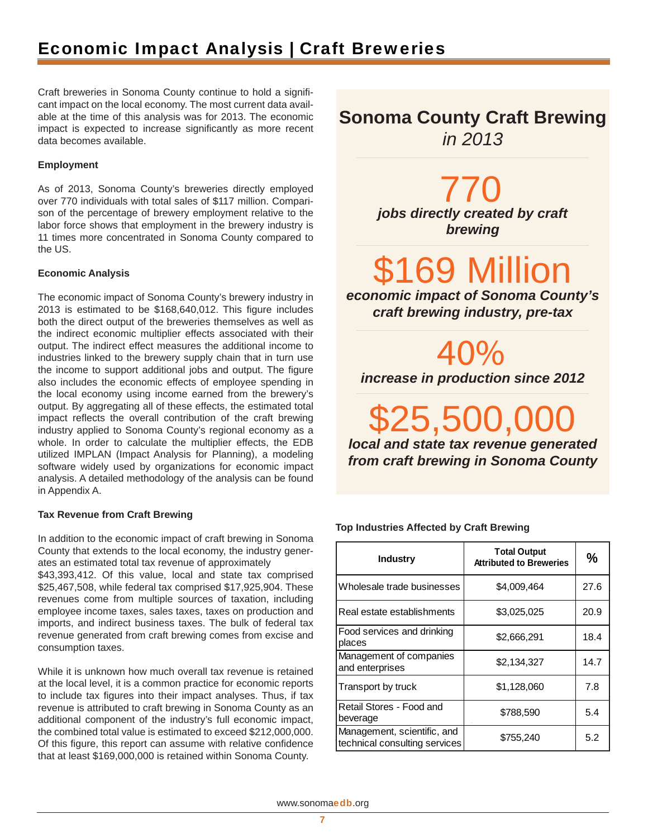### Economic Impact Analysis | Craft Breweries

Craft breweries in Sonoma County continue to hold a significant impact on the local economy. The most current data available at the time of this analysis was for 2013. The economic impact is expected to increase significantly as more recent data becomes available.

### **Employment**

As of 2013, Sonoma County's breweries directly employed over 770 individuals with total sales of \$117 million. Comparison of the percentage of brewery employment relative to the labor force shows that employment in the brewery industry is 11 times more concentrated in Sonoma County compared to the US.

### **Economic Analysis**

The economic impact of Sonoma County's brewery industry in 2013 is estimated to be \$168,640,012. This figure includes both the direct output of the breweries themselves as well as the indirect economic multiplier effects associated with their output. The indirect effect measures the additional income to industries linked to the brewery supply chain that in turn use the income to support additional jobs and output. The figure also includes the economic effects of employee spending in the local economy using income earned from the brewery's output. By aggregating all of these effects, the estimated total impact reflects the overall contribution of the craft brewing industry applied to Sonoma County's regional economy as a whole. In order to calculate the multiplier effects, the EDB utilized IMPLAN (Impact Analysis for Planning), a modeling software widely used by organizations for economic impact analysis. A detailed methodology of the analysis can be found in Appendix A.

### **Tax Revenue from Craft Brewing**

In addition to the economic impact of craft brewing in Sonoma County that extends to the local economy, the industry generates an estimated total tax revenue of approximately

\$43,393,412. Of this value, local and state tax comprised \$25,467,508, while federal tax comprised \$17,925,904. These revenues come from multiple sources of taxation, including employee income taxes, sales taxes, taxes on production and imports, and indirect business taxes. The bulk of federal tax revenue generated from craft brewing comes from excise and consumption taxes.

While it is unknown how much overall tax revenue is retained at the local level, it is a common practice for economic reports to include tax figures into their impact analyses. Thus, if tax revenue is attributed to craft brewing in Sonoma County as an additional component of the industry's full economic impact, the combined total value is estimated to exceed \$212,000,000. Of this figure, this report can assume with relative confidence that at least \$169,000,000 is retained within Sonoma County.

**Sonoma County Craft Brewing**  *in 2013*

> *jobs directly created by craft*  770 *brewing*

69 Million

*economic impact of Sonoma County' s craft brewing industry, pre-tax*

40% *increase in production since 2012*

*local and state tax revenue generated*  25,500,C *from craft brewing in Sonoma County*

### **Top Industries Affected by Craft Brewing**

| <b>Industry</b>                                              | <b>Total Output</b><br><b>Attributed to Breweries</b> | %    |
|--------------------------------------------------------------|-------------------------------------------------------|------|
| Wholesale trade businesses                                   | \$4,009,464                                           | 27.6 |
| Real estate establishments                                   | \$3,025,025                                           | 20.9 |
| Food services and drinking<br>places                         | \$2,666,291                                           | 18.4 |
| Management of companies<br>and enterprises                   | \$2,134,327                                           | 14.7 |
| Transport by truck                                           | \$1,128,060                                           | 7.8  |
| Retail Stores - Food and<br>beverage                         | \$788,590                                             | 5.4  |
| Management, scientific, and<br>technical consulting services | \$755,240                                             | 5.2  |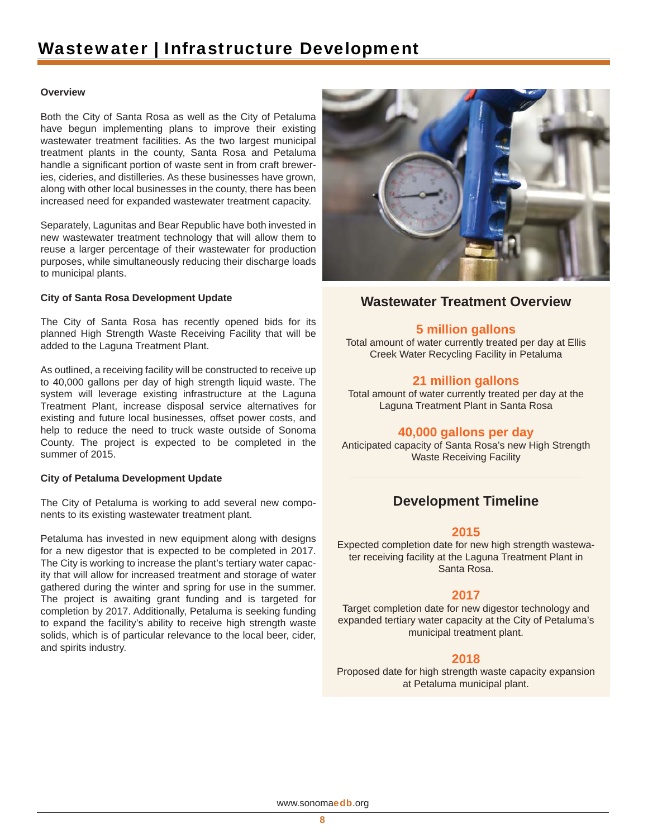### Wastewater | Infrastructure Development

### **Overview**

Both the City of Santa Rosa as well as the City of Petaluma have begun implementing plans to improve their existing wastewater treatment facilities. As the two largest municipal treatment plants in the county, Santa Rosa and Petaluma handle a significant portion of waste sent in from craft breweries, cideries, and distilleries. As these businesses have grown, along with other local businesses in the county, there has been increased need for expanded wastewater treatment capacity.

Separately, Lagunitas and Bear Republic have both invested in new wastewater treatment technology that will allow them to reuse a larger percentage of their wastewater for production purposes, while simultaneously reducing their discharge loads to municipal plants.

### **City of Santa Rosa Development Update**

The City of Santa Rosa has recently opened bids for its planned High Strength Waste Receiving Facility that will be added to the Laguna Treatment Plant.

As outlined, a receiving facility will be constructed to receive up to 40,000 gallons per day of high strength liquid waste. The system will leverage existing infrastructure at the Laguna Treatment Plant, increase disposal service alternatives for existing and future local businesses, offset power costs, and help to reduce the need to truck waste outside of Sonoma County. The project is expected to be completed in the summer of 2015.

### **City of Petaluma Development Update**

The City of Petaluma is working to add several new components to its existing wastewater treatment plant.

Petaluma has invested in new equipment along with designs for a new digestor that is expected to be completed in 2017. The City is working to increase the plant's tertiary water capacity that will allow for increased treatment and storage of water gathered during the winter and spring for use in the summer. The project is awaiting grant funding and is targeted for completion by 2017. Additionally, Petaluma is seeking funding to expand the facility's ability to receive high strength waste solids, which is of particular relevance to the local beer, cider, and spirits industry.



### **Wastewater Treatment Overview**

### **5 million gallons**

Total amount of water currently treated per day at Ellis Creek Water Recycling Facility in Petaluma

### **21 million gallons**

Total amount of water currently treated per day at the Laguna Treatment Plant in Santa Rosa

### **40,000 gallons per day**

Anticipated capacity of Santa Rosa's new High Strength Waste Receiving Facility

### **Development Timeline**

### **2015**

Expected completion date for new high strength wastewater receiving facility at the Laguna Treatment Plant in Santa Rosa.

### **2017**

Target completion date for new digestor technology and expanded tertiary water capacity at the City of Petaluma's municipal treatment plant.

### **2018**

Proposed date for high strength waste capacity expansion at Petaluma municipal plant.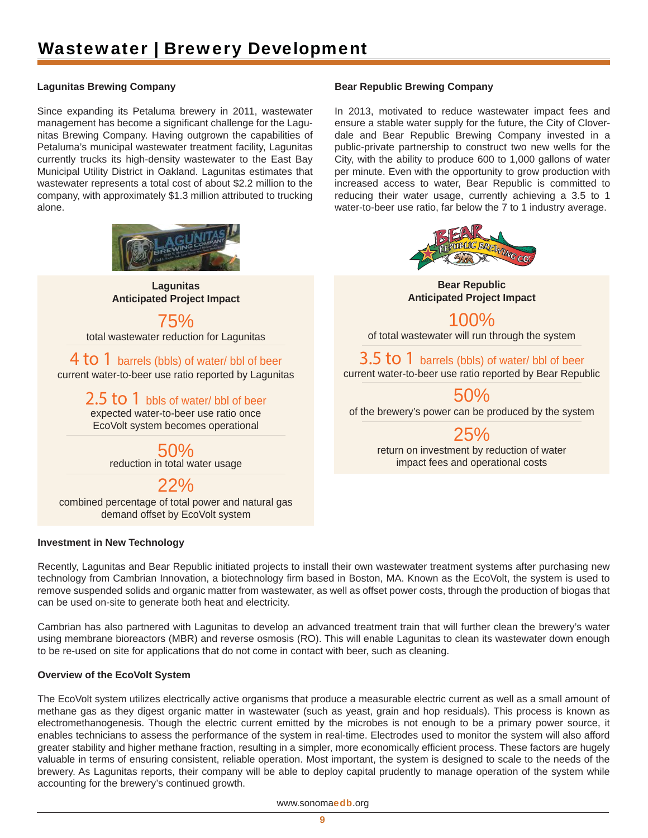### Wastewater | Brewery Development

### **Lagunitas Brewing Company**

Since expanding its Petaluma brewery in 2011, wastewater management has become a significant challenge for the Lagunitas Brewing Company. Having outgrown the capabilities of Petaluma's municipal wastewater treatment facility, Lagunitas currently trucks its high-density wastewater to the East Bay Municipal Utility District in Oakland. Lagunitas estimates that wastewater represents a total cost of about \$2.2 million to the company, with approximately \$1.3 million attributed to trucking alone.



**Lagunitas Anticipated Project Impact**

### 75%

total wastewater reduction for Lagunitas

4 to 1 barrels (bbls) of water/ bbl of beer current water-to-beer use ratio reported by Lagunitas

> $2.5$  to 1 bbls of water/ bbl of beer expected water-to-beer use ratio once EcoVolt system becomes operational

> > 50% reduction in total water usage

> > > 22%

combined percentage of total power and natural gas demand offset by EcoVolt system

### **Investment in New Technology**

### **Bear Republic Brewing Company**

In 2013, motivated to reduce wastewater impact fees and ensure a stable water supply for the future, the City of Cloverdale and Bear Republic Brewing Company invested in a public-private partnership to construct two new wells for the City, with the ability to produce 600 to 1,000 gallons of water per minute. Even with the opportunity to grow production with increased access to water, Bear Republic is committed to reducing their water usage, currently achieving a 3.5 to 1 water-to-beer use ratio, far below the 7 to 1 industry average.



**Bear Republic Anticipated Project Impact**

100% of total wastewater will run through the system

3.5 to 1 barrels (bbls) of water/ bbl of beer current water-to-beer use ratio reported by Bear Republic

50%

of the brewery's power can be produced by the system

25%

return on investment by reduction of water impact fees and operational costs

Recently, Lagunitas and Bear Republic initiated projects to install their own wastewater treatment systems after purchasing new technology from Cambrian Innovation, a biotechnology firm based in Boston, MA. Known as the EcoVolt, the system is used to remove suspended solids and organic matter from wastewater, as well as offset power costs, through the production of biogas that can be used on-site to generate both heat and electricity.

Cambrian has also partnered with Lagunitas to develop an advanced treatment train that will further clean the brewery's water using membrane bioreactors (MBR) and reverse osmosis (RO). This will enable Lagunitas to clean its wastewater down enough to be re-used on site for applications that do not come in contact with beer, such as cleaning.

### **Overview of the EcoVolt System**

The EcoVolt system utilizes electrically active organisms that produce a measurable electric current as well as a small amount of methane gas as they digest organic matter in wastewater (such as yeast, grain and hop residuals). This process is known as electromethanogenesis. Though the electric current emitted by the microbes is not enough to be a primary power source, it enables technicians to assess the performance of the system in real-time. Electrodes used to monitor the system will also afford greater stability and higher methane fraction, resulting in a simpler, more economically efficient process. These factors are hugely valuable in terms of ensuring consistent, reliable operation. Most important, the system is designed to scale to the needs of the brewery. As Lagunitas reports, their company will be able to deploy capital prudently to manage operation of the system while accounting for the brewery's continued growth.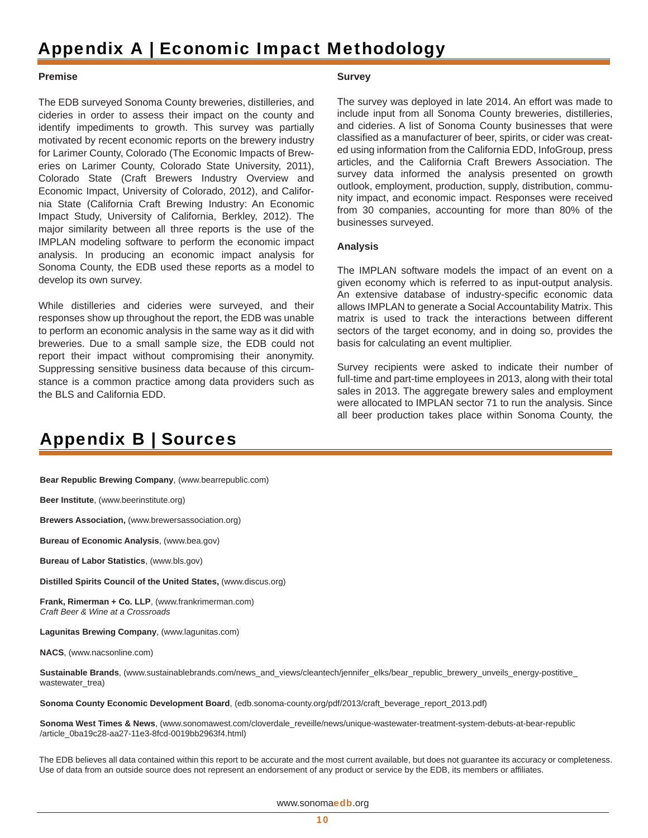### Appendix A | Economic Impact Methodology

#### **Premise**

The EDB surveyed Sonoma County breweries, distilleries, and cideries in order to assess their impact on the county and identify impediments to growth. This survey was partially motivated by recent economic reports on the brewery industry for Larimer County, Colorado (The Economic Impacts of Breweries on Larimer County, Colorado State University, 2011), Colorado State (Craft Brewers Industry Overview and Economic Impact, University of Colorado, 2012), and California State (California Craft Brewing Industry: An Economic Impact Study, University of California, Berkley, 2012). The major similarity between all three reports is the use of the IMPLAN modeling software to perform the economic impact analysis. In producing an economic impact analysis for Sonoma County, the EDB used these reports as a model to develop its own survey.

While distilleries and cideries were surveyed, and their responses show up throughout the report, the EDB was unable to perform an economic analysis in the same way as it did with breweries. Due to a small sample size, the EDB could not report their impact without compromising their anonymity. Suppressing sensitive business data because of this circumstance is a common practice among data providers such as the BLS and California EDD.

### **Survey**

The survey was deployed in late 2014. An effort was made to include input from all Sonoma County breweries, distilleries, and cideries. A list of Sonoma County businesses that were classified as a manufacturer of beer, spirits, or cider was created using information from the California EDD, InfoGroup, press articles, and the California Craft Brewers Association. The survey data informed the analysis presented on growth outlook, employment, production, supply, distribution, community impact, and economic impact. Responses were received from 30 companies, accounting for more than 80% of the businesses surveyed.

### **Analysis**

The IMPLAN software models the impact of an event on a given economy which is referred to as input-output analysis. An extensive database of industry-specific economic data allows IMPLAN to generate a Social Accountability Matrix. This matrix is used to track the interactions between different sectors of the target economy, and in doing so, provides the basis for calculating an event multiplier.

Survey recipients were asked to indicate their number of full-time and part-time employees in 2013, along with their total sales in 2013. The aggregate brewery sales and employment were allocated to IMPLAN sector 71 to run the analysis. Since all beer production takes place within Sonoma County, the

### Appendix B | Sources

**Bear Republic Brewing Company**, (www.bearrepublic.com)

**Beer Institute**, (www.beerinstitute.org)

**Brewers Association,** (www.brewersassociation.org)

**Bureau of Economic Analysis**, (www.bea.gov)

**Bureau of Labor Statistics**, (www.bls.gov)

**Distilled Spirits Council of the United States,** (www.discus.org)

**Frank, Rimerman + Co. LLP**, (www.frankrimerman.com) *Craft Beer & Wine at a Crossroads*

**Lagunitas Brewing Company**, (www.lagunitas.com)

**NACS**, (www.nacsonline.com)

**Sustainable Brands**, (www.sustainablebrands.com/news\_and\_views/cleantech/jennifer\_elks/bear\_republic\_brewery\_unveils\_energy-postitive\_ wastewater\_trea)

**Sonoma County Economic Development Board**, (edb.sonoma-county.org/pdf/2013/craft\_beverage\_report\_2013.pdf)

**Sonoma West Times & News**, (www.sonomawest.com/cloverdale\_reveille/news/unique-wastewater-treatment-system-debuts-at-bear-republic /article\_0ba19c28-aa27-11e3-8fcd-0019bb2963f4.html)

The EDB believes all data contained within this report to be accurate and the most current available, but does not guarantee its accuracy or completeness. Use of data from an outside source does not represent an endorsement of any product or service by the EDB, its members or affiliates.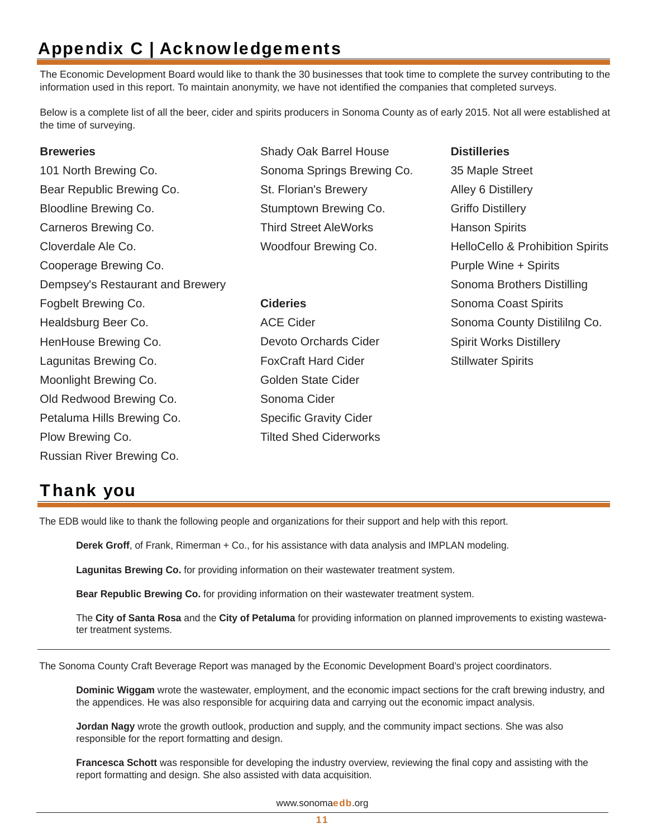### Appendix C | Acknowledgements

The Economic Development Board would like to thank the 30 businesses that took time to complete the survey contributing to the information used in this report. To maintain anonymity, we have not identified the companies that completed surveys.

Below is a complete list of all the beer, cider and spirits producers in Sonoma County as of early 2015. Not all were established at the time of surveying.

### **Breweries**

101 North Brewing Co. Bear Republic Brewing Co. Bloodline Brewing Co. Carneros Brewing Co. Cloverdale Ale Co. Cooperage Brewing Co. Dempsey's Restaurant and Brewery Fogbelt Brewing Co. Healdsburg Beer Co. HenHouse Brewing Co. Lagunitas Brewing Co. Moonlight Brewing Co. Old Redwood Brewing Co. Petaluma Hills Brewing Co. Plow Brewing Co. Russian River Brewing Co.

- Shady Oak Barrel House Sonoma Springs Brewing Co. St. Florian's Brewery Stumptown Brewing Co. Third Street AleWorks Woodfour Brewing Co.
- **Cideries** ACE Cider Devoto Orchards Cider FoxCraft Hard Cider Golden State Cider Sonoma Cider Specific Gravity Cider Tilted Shed Ciderworks
- **Distilleries** 35 Maple Street Alley 6 Distillery Griffo Distillery Hanson Spirits HelloCello & Prohibition Spirits Purple Wine + Spirits Sonoma Brothers Distilling Sonoma Coast Spirits Sonoma County Distililng Co. Spirit Works Distillery Stillwater Spirits

### Thank you

The EDB would like to thank the following people and organizations for their support and help with this report.

**Derek Groff**, of Frank, Rimerman + Co., for his assistance with data analysis and IMPLAN modeling.

**Lagunitas Brewing Co.** for providing information on their wastewater treatment system.

**Bear Republic Brewing Co.** for providing information on their wastewater treatment system.

 The **City of Santa Rosa** and the **City of Petaluma** for providing information on planned improvements to existing wastewa ter treatment systems.

The Sonoma County Craft Beverage Report was managed by the Economic Development Board's project coordinators.

 **Dominic Wiggam** wrote the wastewater, employment, and the economic impact sections for the craft brewing industry, and the appendices. He was also responsible for acquiring data and carrying out the economic impact analysis.

 **Jordan Nagy** wrote the growth outlook, production and supply, and the community impact sections. She was also responsible for the report formatting and design.

 **Francesca Schott** was responsible for developing the industry overview, reviewing the final copy and assisting with the report formatting and design. She also assisted with data acquisition.